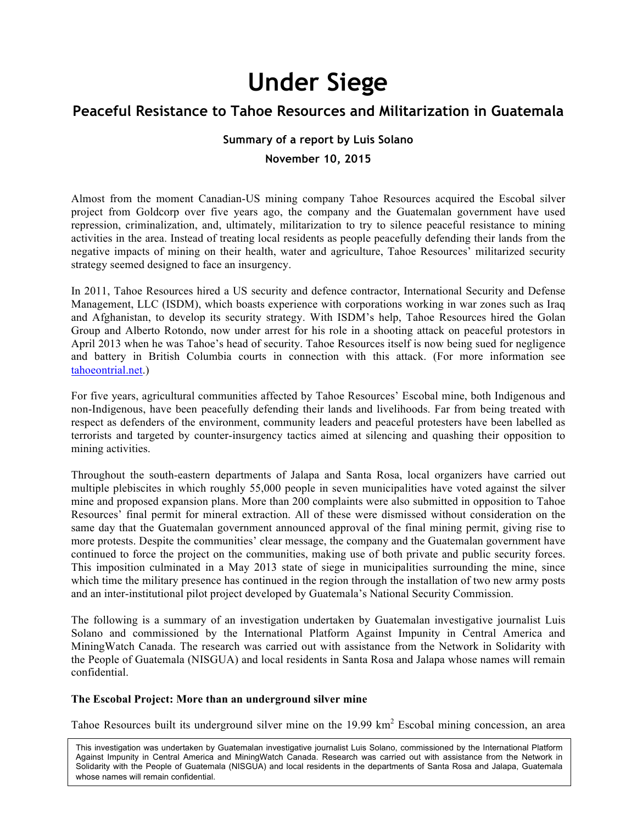# **Under Siege**

# **Peaceful Resistance to Tahoe Resources and Militarization in Guatemala**

#### **Summary of a report by Luis Solano**

#### **November 10, 2015**

Almost from the moment Canadian-US mining company Tahoe Resources acquired the Escobal silver project from Goldcorp over five years ago, the company and the Guatemalan government have used repression, criminalization, and, ultimately, militarization to try to silence peaceful resistance to mining activities in the area. Instead of treating local residents as people peacefully defending their lands from the negative impacts of mining on their health, water and agriculture, Tahoe Resources' militarized security strategy seemed designed to face an insurgency.

In 2011, Tahoe Resources hired a US security and defence contractor, International Security and Defense Management, LLC (ISDM), which boasts experience with corporations working in war zones such as Iraq and Afghanistan, to develop its security strategy. With ISDM's help, Tahoe Resources hired the Golan Group and Alberto Rotondo, now under arrest for his role in a shooting attack on peaceful protestors in April 2013 when he was Tahoe's head of security. Tahoe Resources itself is now being sued for negligence and battery in British Columbia courts in connection with this attack. (For more information see tahoeontrial.net.)

For five years, agricultural communities affected by Tahoe Resources' Escobal mine, both Indigenous and non-Indigenous, have been peacefully defending their lands and livelihoods. Far from being treated with respect as defenders of the environment, community leaders and peaceful protesters have been labelled as terrorists and targeted by counter-insurgency tactics aimed at silencing and quashing their opposition to mining activities.

Throughout the south-eastern departments of Jalapa and Santa Rosa, local organizers have carried out multiple plebiscites in which roughly 55,000 people in seven municipalities have voted against the silver mine and proposed expansion plans. More than 200 complaints were also submitted in opposition to Tahoe Resources' final permit for mineral extraction. All of these were dismissed without consideration on the same day that the Guatemalan government announced approval of the final mining permit, giving rise to more protests. Despite the communities' clear message, the company and the Guatemalan government have continued to force the project on the communities, making use of both private and public security forces. This imposition culminated in a May 2013 state of siege in municipalities surrounding the mine, since which time the military presence has continued in the region through the installation of two new army posts and an inter-institutional pilot project developed by Guatemala's National Security Commission.

The following is a summary of an investigation undertaken by Guatemalan investigative journalist Luis Solano and commissioned by the International Platform Against Impunity in Central America and MiningWatch Canada. The research was carried out with assistance from the Network in Solidarity with the People of Guatemala (NISGUA) and local residents in Santa Rosa and Jalapa whose names will remain confidential.

#### **The Escobal Project: More than an underground silver mine**

Tahoe Resources built its underground silver mine on the 19.99 km<sup>2</sup> Escobal mining concession, an area

This investigation was undertaken by Guatemalan investigative journalist Luis Solano, commissioned by the International Platform Against Impunity in Central America and MiningWatch Canada. Research was carried out with assistance from the Network in Solidarity with the People of Guatemala (NISGUA) and local residents in the departments of Santa Rosa and Jalapa, Guatemala whose names will remain confidential.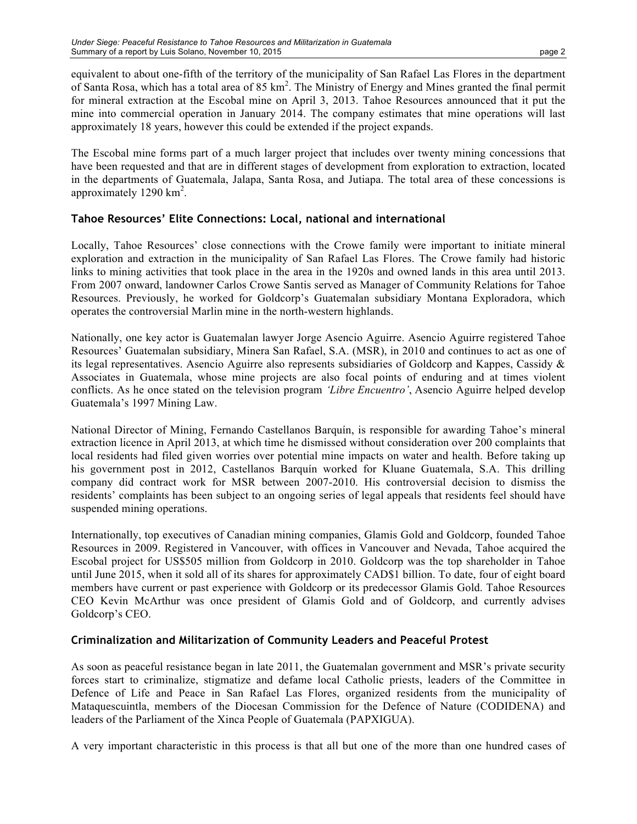equivalent to about one-fifth of the territory of the municipality of San Rafael Las Flores in the department of Santa Rosa, which has a total area of  $85 \text{ km}^2$ . The Ministry of Energy and Mines granted the final permit for mineral extraction at the Escobal mine on April 3, 2013. Tahoe Resources announced that it put the mine into commercial operation in January 2014. The company estimates that mine operations will last approximately 18 years, however this could be extended if the project expands.

The Escobal mine forms part of a much larger project that includes over twenty mining concessions that have been requested and that are in different stages of development from exploration to extraction, located in the departments of Guatemala, Jalapa, Santa Rosa, and Jutiapa. The total area of these concessions is approximately  $1290 \text{ km}^2$ .

# **Tahoe Resources' Elite Connections: Local, national and international**

Locally, Tahoe Resources' close connections with the Crowe family were important to initiate mineral exploration and extraction in the municipality of San Rafael Las Flores. The Crowe family had historic links to mining activities that took place in the area in the 1920s and owned lands in this area until 2013. From 2007 onward, landowner Carlos Crowe Santis served as Manager of Community Relations for Tahoe Resources. Previously, he worked for Goldcorp's Guatemalan subsidiary Montana Exploradora, which operates the controversial Marlin mine in the north-western highlands.

Nationally, one key actor is Guatemalan lawyer Jorge Asencio Aguirre. Asencio Aguirre registered Tahoe Resources' Guatemalan subsidiary, Minera San Rafael, S.A. (MSR), in 2010 and continues to act as one of its legal representatives. Asencio Aguirre also represents subsidiaries of Goldcorp and Kappes, Cassidy & Associates in Guatemala, whose mine projects are also focal points of enduring and at times violent conflicts. As he once stated on the television program *'Libre Encuentro'*, Asencio Aguirre helped develop Guatemala's 1997 Mining Law.

National Director of Mining, Fernando Castellanos Barquín, is responsible for awarding Tahoe's mineral extraction licence in April 2013, at which time he dismissed without consideration over 200 complaints that local residents had filed given worries over potential mine impacts on water and health. Before taking up his government post in 2012, Castellanos Barquín worked for Kluane Guatemala, S.A. This drilling company did contract work for MSR between 2007-2010. His controversial decision to dismiss the residents' complaints has been subject to an ongoing series of legal appeals that residents feel should have suspended mining operations.

Internationally, top executives of Canadian mining companies, Glamis Gold and Goldcorp, founded Tahoe Resources in 2009. Registered in Vancouver, with offices in Vancouver and Nevada, Tahoe acquired the Escobal project for US\$505 million from Goldcorp in 2010. Goldcorp was the top shareholder in Tahoe until June 2015, when it sold all of its shares for approximately CAD\$1 billion. To date, four of eight board members have current or past experience with Goldcorp or its predecessor Glamis Gold. Tahoe Resources CEO Kevin McArthur was once president of Glamis Gold and of Goldcorp, and currently advises Goldcorp's CEO.

# **Criminalization and Militarization of Community Leaders and Peaceful Protest**

As soon as peaceful resistance began in late 2011, the Guatemalan government and MSR's private security forces start to criminalize, stigmatize and defame local Catholic priests, leaders of the Committee in Defence of Life and Peace in San Rafael Las Flores, organized residents from the municipality of Mataquescuintla, members of the Diocesan Commission for the Defence of Nature (CODIDENA) and leaders of the Parliament of the Xinca People of Guatemala (PAPXIGUA).

A very important characteristic in this process is that all but one of the more than one hundred cases of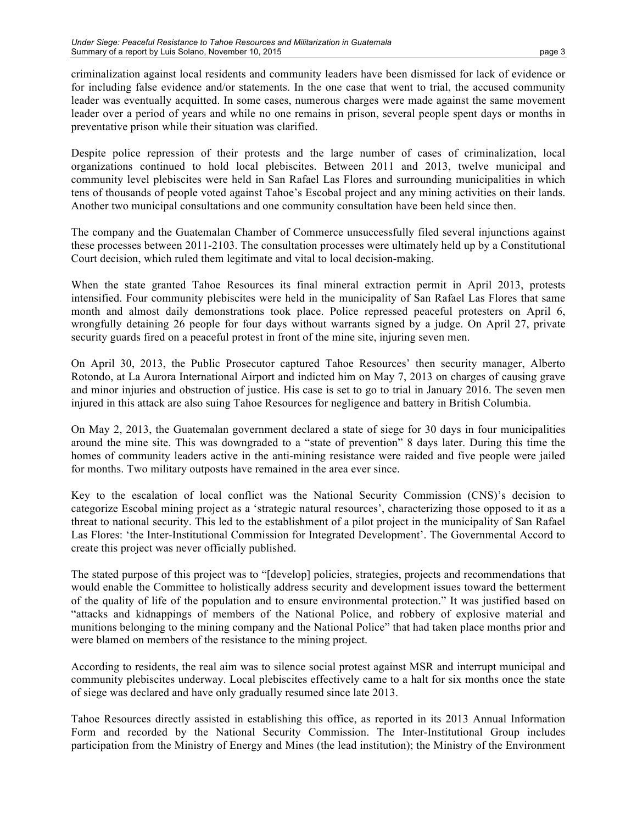criminalization against local residents and community leaders have been dismissed for lack of evidence or for including false evidence and/or statements. In the one case that went to trial, the accused community leader was eventually acquitted. In some cases, numerous charges were made against the same movement leader over a period of years and while no one remains in prison, several people spent days or months in preventative prison while their situation was clarified.

Despite police repression of their protests and the large number of cases of criminalization, local organizations continued to hold local plebiscites. Between 2011 and 2013, twelve municipal and community level plebiscites were held in San Rafael Las Flores and surrounding municipalities in which tens of thousands of people voted against Tahoe's Escobal project and any mining activities on their lands. Another two municipal consultations and one community consultation have been held since then.

The company and the Guatemalan Chamber of Commerce unsuccessfully filed several injunctions against these processes between 2011-2103. The consultation processes were ultimately held up by a Constitutional Court decision, which ruled them legitimate and vital to local decision-making.

When the state granted Tahoe Resources its final mineral extraction permit in April 2013, protests intensified. Four community plebiscites were held in the municipality of San Rafael Las Flores that same month and almost daily demonstrations took place. Police repressed peaceful protesters on April 6, wrongfully detaining 26 people for four days without warrants signed by a judge. On April 27, private security guards fired on a peaceful protest in front of the mine site, injuring seven men.

On April 30, 2013, the Public Prosecutor captured Tahoe Resources' then security manager, Alberto Rotondo, at La Aurora International Airport and indicted him on May 7, 2013 on charges of causing grave and minor injuries and obstruction of justice. His case is set to go to trial in January 2016. The seven men injured in this attack are also suing Tahoe Resources for negligence and battery in British Columbia.

On May 2, 2013, the Guatemalan government declared a state of siege for 30 days in four municipalities around the mine site. This was downgraded to a "state of prevention" 8 days later. During this time the homes of community leaders active in the anti-mining resistance were raided and five people were jailed for months. Two military outposts have remained in the area ever since.

Key to the escalation of local conflict was the National Security Commission (CNS)'s decision to categorize Escobal mining project as a 'strategic natural resources', characterizing those opposed to it as a threat to national security. This led to the establishment of a pilot project in the municipality of San Rafael Las Flores: 'the Inter-Institutional Commission for Integrated Development'. The Governmental Accord to create this project was never officially published.

The stated purpose of this project was to "[develop] policies, strategies, projects and recommendations that would enable the Committee to holistically address security and development issues toward the betterment of the quality of life of the population and to ensure environmental protection." It was justified based on "attacks and kidnappings of members of the National Police, and robbery of explosive material and munitions belonging to the mining company and the National Police" that had taken place months prior and were blamed on members of the resistance to the mining project.

According to residents, the real aim was to silence social protest against MSR and interrupt municipal and community plebiscites underway. Local plebiscites effectively came to a halt for six months once the state of siege was declared and have only gradually resumed since late 2013.

Tahoe Resources directly assisted in establishing this office, as reported in its 2013 Annual Information Form and recorded by the National Security Commission. The Inter-Institutional Group includes participation from the Ministry of Energy and Mines (the lead institution); the Ministry of the Environment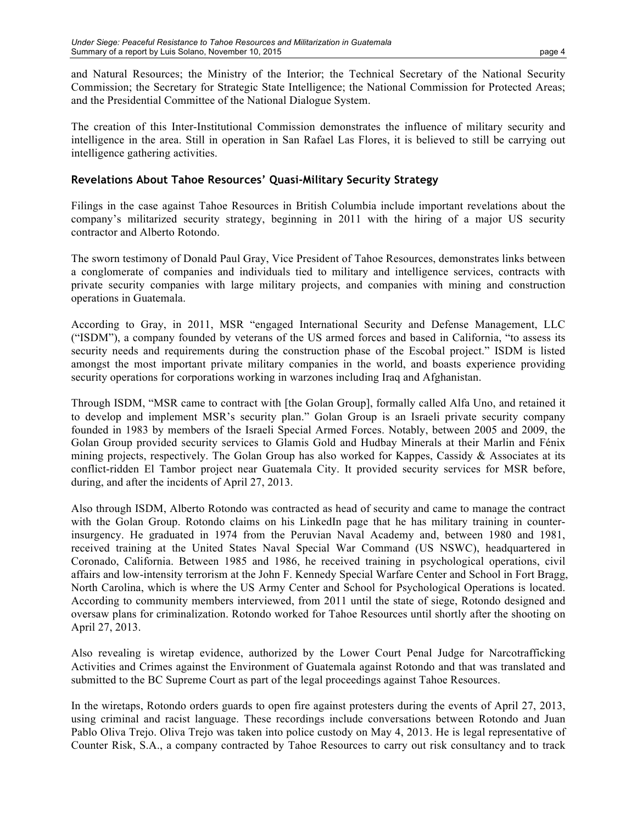and Natural Resources; the Ministry of the Interior; the Technical Secretary of the National Security Commission; the Secretary for Strategic State Intelligence; the National Commission for Protected Areas; and the Presidential Committee of the National Dialogue System.

The creation of this Inter-Institutional Commission demonstrates the influence of military security and intelligence in the area. Still in operation in San Rafael Las Flores, it is believed to still be carrying out intelligence gathering activities.

# **Revelations About Tahoe Resources' Quasi-Military Security Strategy**

Filings in the case against Tahoe Resources in British Columbia include important revelations about the company's militarized security strategy, beginning in 2011 with the hiring of a major US security contractor and Alberto Rotondo.

The sworn testimony of Donald Paul Gray, Vice President of Tahoe Resources, demonstrates links between a conglomerate of companies and individuals tied to military and intelligence services, contracts with private security companies with large military projects, and companies with mining and construction operations in Guatemala.

According to Gray, in 2011, MSR "engaged International Security and Defense Management, LLC ("ISDM"), a company founded by veterans of the US armed forces and based in California, "to assess its security needs and requirements during the construction phase of the Escobal project." ISDM is listed amongst the most important private military companies in the world, and boasts experience providing security operations for corporations working in warzones including Iraq and Afghanistan.

Through ISDM, "MSR came to contract with [the Golan Group], formally called Alfa Uno, and retained it to develop and implement MSR's security plan." Golan Group is an Israeli private security company founded in 1983 by members of the Israeli Special Armed Forces. Notably, between 2005 and 2009, the Golan Group provided security services to Glamis Gold and Hudbay Minerals at their Marlin and Fénix mining projects, respectively. The Golan Group has also worked for Kappes, Cassidy & Associates at its conflict-ridden El Tambor project near Guatemala City. It provided security services for MSR before, during, and after the incidents of April 27, 2013.

Also through ISDM, Alberto Rotondo was contracted as head of security and came to manage the contract with the Golan Group. Rotondo claims on his LinkedIn page that he has military training in counterinsurgency. He graduated in 1974 from the Peruvian Naval Academy and, between 1980 and 1981, received training at the United States Naval Special War Command (US NSWC), headquartered in Coronado, California. Between 1985 and 1986, he received training in psychological operations, civil affairs and low-intensity terrorism at the John F. Kennedy Special Warfare Center and School in Fort Bragg, North Carolina, which is where the US Army Center and School for Psychological Operations is located. According to community members interviewed, from 2011 until the state of siege, Rotondo designed and oversaw plans for criminalization. Rotondo worked for Tahoe Resources until shortly after the shooting on April 27, 2013.

Also revealing is wiretap evidence, authorized by the Lower Court Penal Judge for Narcotrafficking Activities and Crimes against the Environment of Guatemala against Rotondo and that was translated and submitted to the BC Supreme Court as part of the legal proceedings against Tahoe Resources.

In the wiretaps, Rotondo orders guards to open fire against protesters during the events of April 27, 2013, using criminal and racist language. These recordings include conversations between Rotondo and Juan Pablo Oliva Trejo. Oliva Trejo was taken into police custody on May 4, 2013. He is legal representative of Counter Risk, S.A., a company contracted by Tahoe Resources to carry out risk consultancy and to track